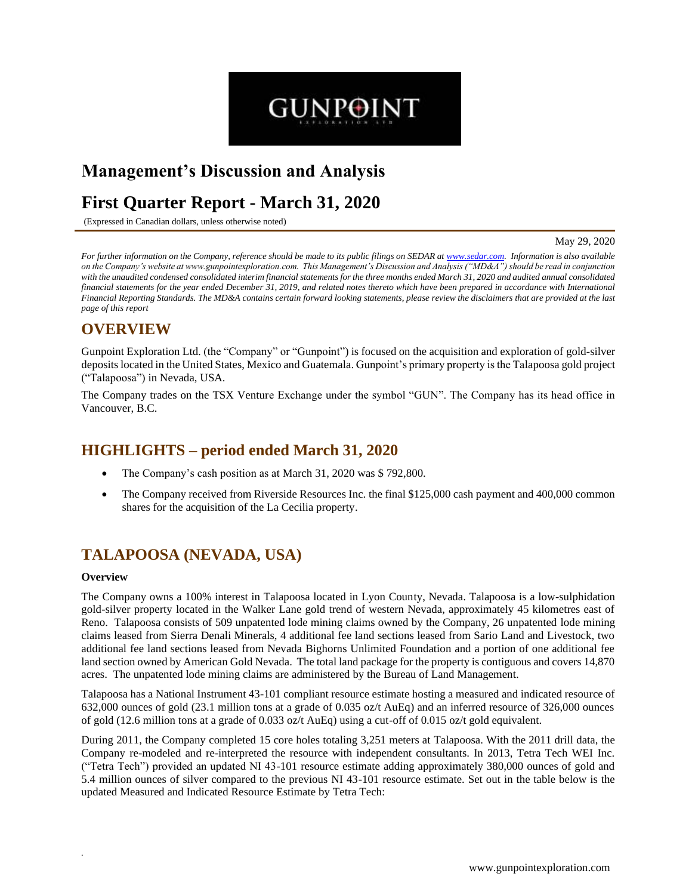# **Management's Discussion and Analysis**

# **First Quarter Report - March 31, 2020**

(Expressed in Canadian dollars, unless otherwise noted)

May 29, 2020

*For further information on the Company, reference should be made to its public filings on SEDAR at www.sedar.com. Information is also available on the Company's website at www.gunpointexploration.com. This Management's Discussion and Analysis ("MD&A") should be read in conjunction with the unaudited condensed consolidated interim financial statements for the three months ended March 31, 2020 and audited annual consolidated financial statements for the year ended December 31, 2019, and related notes thereto which have been prepared in accordance with International Financial Reporting Standards. The MD&A contains certain forward looking statements, please review the disclaimers that are provided at the last page of this report*

**GUNPOINT** 

# **OVERVIEW**

Gunpoint Exploration Ltd. (the "Company" or "Gunpoint") is focused on the acquisition and exploration of gold-silver depositslocated in the United States, Mexico and Guatemala. Gunpoint's primary property is the Talapoosa gold project ("Talapoosa") in Nevada, USA.

The Company trades on the TSX Venture Exchange under the symbol "GUN". The Company has its head office in Vancouver, B.C.

# **HIGHLIGHTS – period ended March 31, 2020**

- The Company's cash position as at March 31, 2020 was \$ 792,800.
- The Company received from Riverside Resources Inc. the final \$125,000 cash payment and 400,000 common shares for the acquisition of the La Cecilia property.

# **TALAPOOSA (NEVADA, USA)**

### **Overview**

*.* 

The Company owns a 100% interest in Talapoosa located in Lyon County, Nevada. Talapoosa is a low-sulphidation gold-silver property located in the Walker Lane gold trend of western Nevada, approximately 45 kilometres east of Reno. Talapoosa consists of 509 unpatented lode mining claims owned by the Company, 26 unpatented lode mining claims leased from Sierra Denali Minerals, 4 additional fee land sections leased from Sario Land and Livestock, two additional fee land sections leased from Nevada Bighorns Unlimited Foundation and a portion of one additional fee land section owned by American Gold Nevada. The total land package for the property is contiguous and covers 14,870 acres. The unpatented lode mining claims are administered by the Bureau of Land Management.

Talapoosa has a National Instrument 43-101 compliant resource estimate hosting a measured and indicated resource of 632,000 ounces of gold (23.1 million tons at a grade of 0.035 oz/t AuEq) and an inferred resource of 326,000 ounces of gold (12.6 million tons at a grade of 0.033 oz/t AuEq) using a cut-off of 0.015 oz/t gold equivalent.

During 2011, the Company completed 15 core holes totaling 3,251 meters at Talapoosa. With the 2011 drill data, the Company re-modeled and re-interpreted the resource with independent consultants. In 2013, Tetra Tech WEI Inc. ("Tetra Tech") provided an updated NI 43-101 resource estimate adding approximately 380,000 ounces of gold and 5.4 million ounces of silver compared to the previous NI 43-101 resource estimate. Set out in the table below is the updated Measured and Indicated Resource Estimate by Tetra Tech: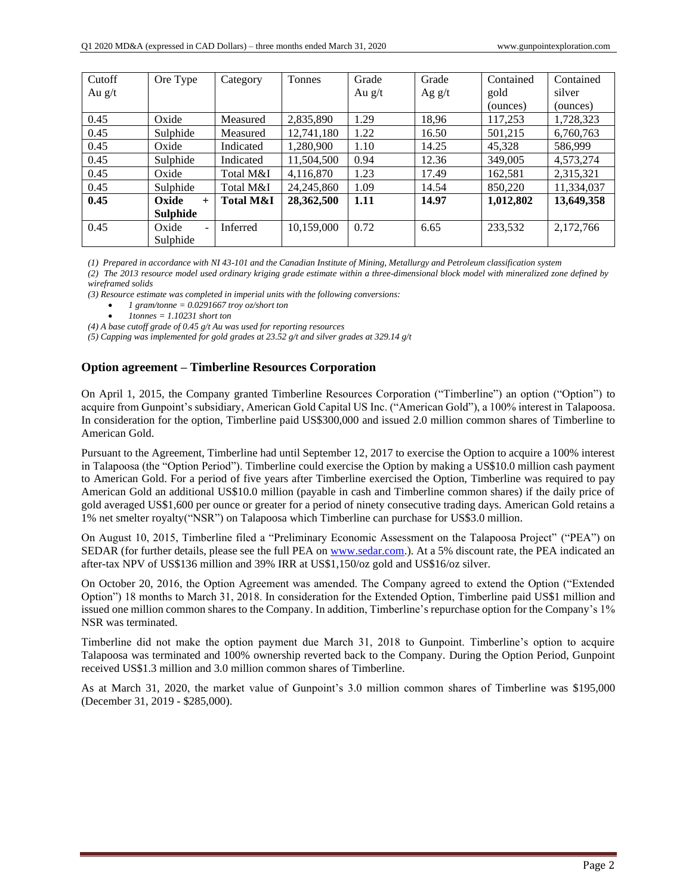| Cutoff   | Ore Type                          | Category             | <b>Tonnes</b> | Grade    | Grade    | Contained | Contained  |
|----------|-----------------------------------|----------------------|---------------|----------|----------|-----------|------------|
| Au $g/t$ |                                   |                      |               | Au $g/t$ | Ag $g/t$ | gold      | silver     |
|          |                                   |                      |               |          |          | (ounces)  | (ounces)   |
| 0.45     | Oxide                             | Measured             | 2,835,890     | l.29     | 18,96    | 117,253   | 1,728,323  |
| 0.45     | Sulphide                          | Measured             | 12,741,180    | 1.22     | 16.50    | 501,215   | 6,760,763  |
| 0.45     | Oxide                             | Indicated            | 1,280,900     | 1.10     | 14.25    | 45.328    | 586.999    |
| 0.45     | Sulphide                          | Indicated            | 11,504,500    | 0.94     | 12.36    | 349,005   | 4,573,274  |
| 0.45     | Oxide                             | Total M&I            | 4,116,870     | 1.23     | 17.49    | 162,581   | 2,315,321  |
| 0.45     | Sulphide                          | Total M&I            | 24, 245, 860  | 1.09     | 14.54    | 850,220   | 11,334,037 |
| 0.45     | Oxide<br>$+$                      | <b>Total M&amp;I</b> | 28,362,500    | 1.11     | 14.97    | 1,012,802 | 13,649,358 |
|          | <b>Sulphide</b>                   |                      |               |          |          |           |            |
| 0.45     | Oxide<br>$\overline{\phantom{0}}$ | Inferred             | 10,159,000    | 0.72     | 6.65     | 233,532   | 2,172,766  |
|          | Sulphide                          |                      |               |          |          |           |            |

*(1) Prepared in accordance with NI 43-101 and the Canadian Institute of Mining, Metallurgy and Petroleum classification system*

*(2) The 2013 resource model used ordinary kriging grade estimate within a three-dimensional block model with mineralized zone defined by wireframed solids*

*(3) Resource estimate was completed in imperial units with the following conversions:*

- *1 gram/tonne = 0.0291667 troy oz/short ton*
	- *1tonnes = 1.10231 short ton*

*(4) A base cutoff grade of 0.45 g/t Au was used for reporting resources*

*(5) Capping was implemented for gold grades at 23.52 g/t and silver grades at 329.14 g/t*

# **Option agreement – Timberline Resources Corporation**

On April 1, 2015, the Company granted Timberline Resources Corporation ("Timberline") an option ("Option") to acquire from Gunpoint's subsidiary, American Gold Capital US Inc. ("American Gold"), a 100% interest in Talapoosa. In consideration for the option, Timberline paid US\$300,000 and issued 2.0 million common shares of Timberline to American Gold.

Pursuant to the Agreement, Timberline had until September 12, 2017 to exercise the Option to acquire a 100% interest in Talapoosa (the "Option Period"). Timberline could exercise the Option by making a US\$10.0 million cash payment to American Gold. For a period of five years after Timberline exercised the Option, Timberline was required to pay American Gold an additional US\$10.0 million (payable in cash and Timberline common shares) if the daily price of gold averaged US\$1,600 per ounce or greater for a period of ninety consecutive trading days. American Gold retains a 1% net smelter royalty("NSR") on Talapoosa which Timberline can purchase for US\$3.0 million.

On August 10, 2015, Timberline filed a "Preliminary Economic Assessment on the Talapoosa Project" ("PEA") on SEDAR (for further details, please see the full PEA on www.sedar.com.). At a 5% discount rate, the PEA indicated an after-tax NPV of US\$136 million and 39% IRR at US\$1,150/oz gold and US\$16/oz silver.

On October 20, 2016, the Option Agreement was amended. The Company agreed to extend the Option ("Extended Option") 18 months to March 31, 2018. In consideration for the Extended Option, Timberline paid US\$1 million and issued one million common shares to the Company. In addition, Timberline's repurchase option for the Company's 1% NSR was terminated.

Timberline did not make the option payment due March 31, 2018 to Gunpoint. Timberline's option to acquire Talapoosa was terminated and 100% ownership reverted back to the Company. During the Option Period, Gunpoint received US\$1.3 million and 3.0 million common shares of Timberline.

As at March 31, 2020, the market value of Gunpoint's 3.0 million common shares of Timberline was \$195,000 (December 31, 2019 - \$285,000).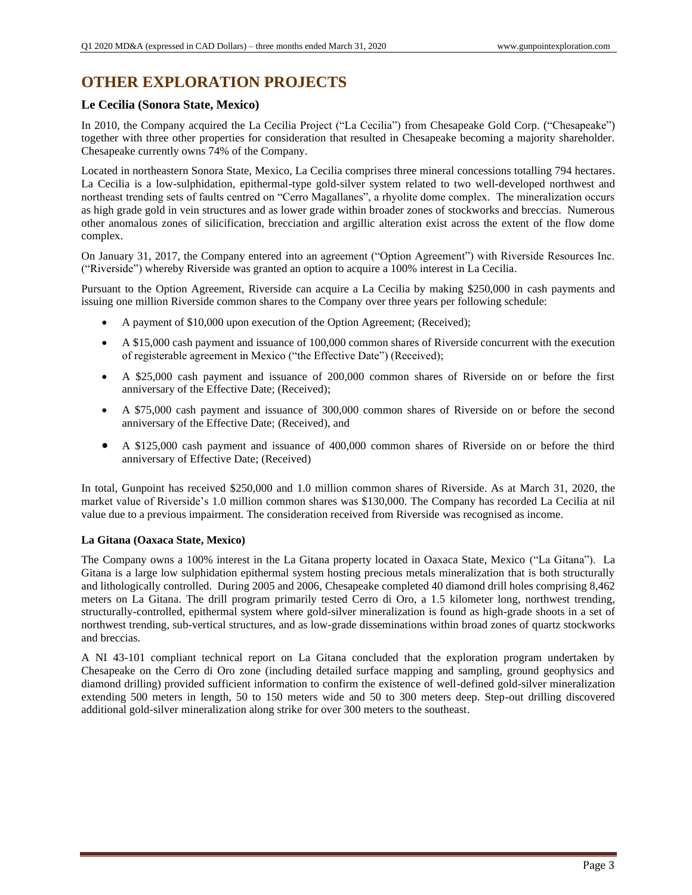# **OTHER EXPLORATION PROJECTS**

# **Le Cecilia (Sonora State, Mexico)**

In 2010, the Company acquired the La Cecilia Project ("La Cecilia") from Chesapeake Gold Corp. ("Chesapeake") together with three other properties for consideration that resulted in Chesapeake becoming a majority shareholder. Chesapeake currently owns 74% of the Company.

Located in northeastern Sonora State, Mexico, La Cecilia comprises three mineral concessions totalling 794 hectares. La Cecilia is a low-sulphidation, epithermal-type gold-silver system related to two well-developed northwest and northeast trending sets of faults centred on "Cerro Magallanes", a rhyolite dome complex. The mineralization occurs as high grade gold in vein structures and as lower grade within broader zones of stockworks and breccias. Numerous other anomalous zones of silicification, brecciation and argillic alteration exist across the extent of the flow dome complex.

On January 31, 2017, the Company entered into an agreement ("Option Agreement") with Riverside Resources Inc. ("Riverside") whereby Riverside was granted an option to acquire a 100% interest in La Cecilia.

Pursuant to the Option Agreement, Riverside can acquire a La Cecilia by making \$250,000 in cash payments and issuing one million Riverside common shares to the Company over three years per following schedule:

- A payment of \$10,000 upon execution of the Option Agreement; (Received);
- A \$15,000 cash payment and issuance of 100,000 common shares of Riverside concurrent with the execution of registerable agreement in Mexico ("the Effective Date") (Received);
- A \$25,000 cash payment and issuance of 200,000 common shares of Riverside on or before the first anniversary of the Effective Date; (Received);
- A \$75,000 cash payment and issuance of 300,000 common shares of Riverside on or before the second anniversary of the Effective Date; (Received), and
- A \$125,000 cash payment and issuance of 400,000 common shares of Riverside on or before the third anniversary of Effective Date; (Received)

In total, Gunpoint has received \$250,000 and 1.0 million common shares of Riverside. As at March 31, 2020, the market value of Riverside's 1.0 million common shares was \$130,000. The Company has recorded La Cecilia at nil value due to a previous impairment. The consideration received from Riverside was recognised as income.

## **La Gitana (Oaxaca State, Mexico)**

The Company owns a 100% interest in the La Gitana property located in Oaxaca State, Mexico ("La Gitana"). La Gitana is a large low sulphidation epithermal system hosting precious metals mineralization that is both structurally and lithologically controlled. During 2005 and 2006, Chesapeake completed 40 diamond drill holes comprising 8,462 meters on La Gitana. The drill program primarily tested Cerro di Oro, a 1.5 kilometer long, northwest trending, structurally-controlled, epithermal system where gold-silver mineralization is found as high-grade shoots in a set of northwest trending, sub-vertical structures, and as low-grade disseminations within broad zones of quartz stockworks and breccias.

A NI 43-101 compliant technical report on La Gitana concluded that the exploration program undertaken by Chesapeake on the Cerro di Oro zone (including detailed surface mapping and sampling, ground geophysics and diamond drilling) provided sufficient information to confirm the existence of well-defined gold-silver mineralization extending 500 meters in length, 50 to 150 meters wide and 50 to 300 meters deep. Step-out drilling discovered additional gold-silver mineralization along strike for over 300 meters to the southeast.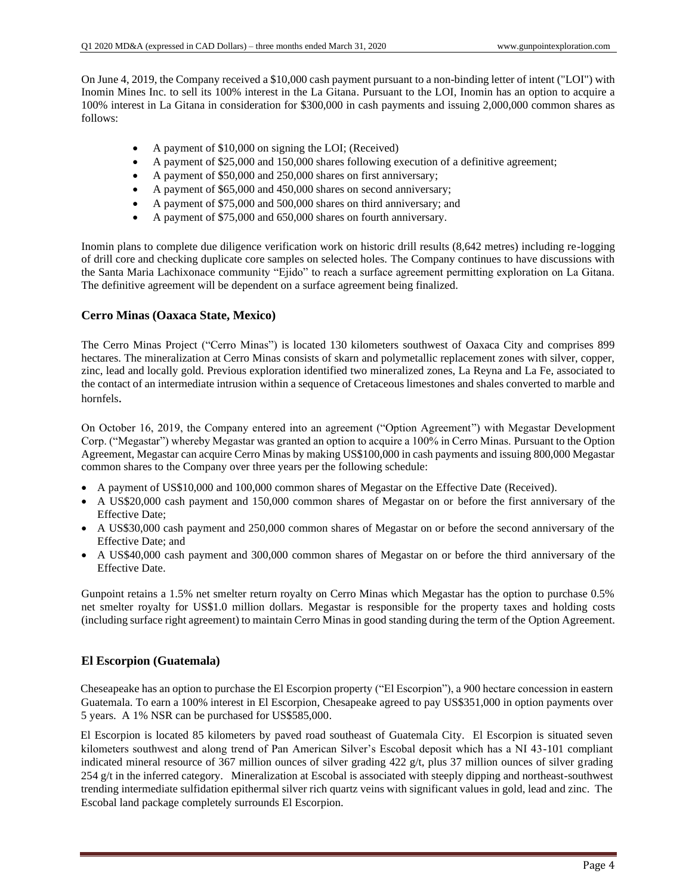On June 4, 2019, the Company received a \$10,000 cash payment pursuant to a non-binding letter of intent ("LOI") with Inomin Mines Inc. to sell its 100% interest in the La Gitana. Pursuant to the LOI, Inomin has an option to acquire a 100% interest in La Gitana in consideration for \$300,000 in cash payments and issuing 2,000,000 common shares as follows:

- A payment of \$10,000 on signing the LOI; (Received)
- A payment of \$25,000 and 150,000 shares following execution of a definitive agreement;
- A payment of \$50,000 and 250,000 shares on first anniversary;
- A payment of \$65,000 and 450,000 shares on second anniversary;
- A payment of \$75,000 and 500,000 shares on third anniversary; and
- A payment of \$75,000 and 650,000 shares on fourth anniversary.

Inomin plans to complete due diligence verification work on historic drill results (8,642 metres) including re-logging of drill core and checking duplicate core samples on selected holes. The Company continues to have discussions with the Santa Maria Lachixonace community "Ejido" to reach a surface agreement permitting exploration on La Gitana. The definitive agreement will be dependent on a surface agreement being finalized.

## **Cerro Minas (Oaxaca State, Mexico)**

The Cerro Minas Project ("Cerro Minas") is located 130 kilometers southwest of Oaxaca City and comprises 899 hectares. The mineralization at Cerro Minas consists of skarn and polymetallic replacement zones with silver, copper, zinc, lead and locally gold. Previous exploration identified two mineralized zones, La Reyna and La Fe, associated to the contact of an intermediate intrusion within a sequence of Cretaceous limestones and shales converted to marble and hornfels.

On October 16, 2019, the Company entered into an agreement ("Option Agreement") with Megastar Development Corp. ("Megastar") whereby Megastar was granted an option to acquire a 100% in Cerro Minas. Pursuant to the Option Agreement, Megastar can acquire Cerro Minas by making US\$100,000 in cash payments and issuing 800,000 Megastar common shares to the Company over three years per the following schedule:

- A payment of US\$10,000 and 100,000 common shares of Megastar on the Effective Date (Received).
- A US\$20,000 cash payment and 150,000 common shares of Megastar on or before the first anniversary of the Effective Date;
- A US\$30,000 cash payment and 250,000 common shares of Megastar on or before the second anniversary of the Effective Date; and
- A US\$40,000 cash payment and 300,000 common shares of Megastar on or before the third anniversary of the Effective Date.

Gunpoint retains a 1.5% net smelter return royalty on Cerro Minas which Megastar has the option to purchase 0.5% net smelter royalty for US\$1.0 million dollars. Megastar is responsible for the property taxes and holding costs (including surface right agreement) to maintain Cerro Minas in good standing during the term of the Option Agreement.

## **El Escorpion (Guatemala)**

Cheseapeake has an option to purchase the El Escorpion property ("El Escorpion"), a 900 hectare concession in eastern Guatemala. To earn a 100% interest in El Escorpion, Chesapeake agreed to pay US\$351,000 in option payments over 5 years. A 1% NSR can be purchased for US\$585,000.

El Escorpion is located 85 kilometers by paved road southeast of Guatemala City. El Escorpion is situated seven kilometers southwest and along trend of Pan American Silver's Escobal deposit which has a NI 43-101 compliant indicated mineral resource of 367 million ounces of silver grading 422 g/t, plus 37 million ounces of silver grading 254 g/t in the inferred category. Mineralization at Escobal is associated with steeply dipping and northeast-southwest trending intermediate sulfidation epithermal silver rich quartz veins with significant values in gold, lead and zinc. The Escobal land package completely surrounds El Escorpion.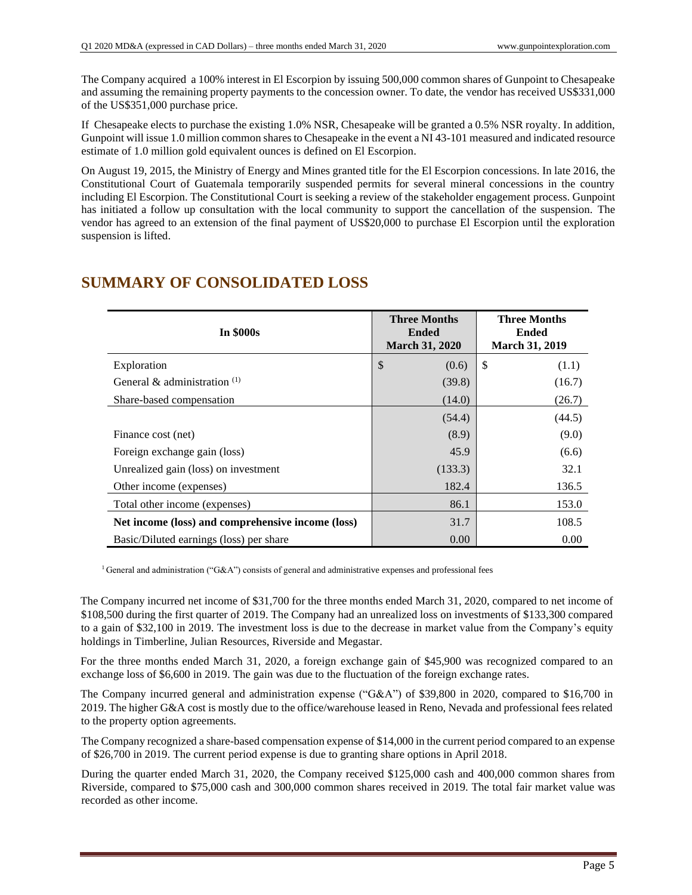The Company acquired a 100% interest in El Escorpion by issuing 500,000 common shares of Gunpoint to Chesapeake and assuming the remaining property payments to the concession owner. To date, the vendor has received US\$331,000 of the US\$351,000 purchase price.

If Chesapeake elects to purchase the existing 1.0% NSR, Chesapeake will be granted a 0.5% NSR royalty. In addition, Gunpoint will issue 1.0 million common shares to Chesapeake in the event a NI 43-101 measured and indicated resource estimate of 1.0 million gold equivalent ounces is defined on El Escorpion.

On August 19, 2015, the Ministry of Energy and Mines granted title for the El Escorpion concessions. In late 2016, the Constitutional Court of Guatemala temporarily suspended permits for several mineral concessions in the country including El Escorpion. The Constitutional Court is seeking a review of the stakeholder engagement process. Gunpoint has initiated a follow up consultation with the local community to support the cancellation of the suspension. The vendor has agreed to an extension of the final payment of US\$20,000 to purchase El Escorpion until the exploration suspension is lifted.

| <b>In \$000s</b>                                  | <b>Three Months</b><br><b>Ended</b><br><b>March 31, 2020</b> | <b>Three Months</b><br>Ended<br><b>March 31, 2019</b> |
|---------------------------------------------------|--------------------------------------------------------------|-------------------------------------------------------|
| Exploration                                       | $\boldsymbol{\mathsf{S}}$<br>(0.6)                           | \$<br>(1.1)                                           |
| General & administration $(1)$                    | (39.8)                                                       | (16.7)                                                |
| Share-based compensation                          | (14.0)                                                       | (26.7)                                                |
|                                                   | (54.4)                                                       | (44.5)                                                |
| Finance cost (net)                                | (8.9)                                                        | (9.0)                                                 |
| Foreign exchange gain (loss)                      | 45.9                                                         | (6.6)                                                 |
| Unrealized gain (loss) on investment              | (133.3)                                                      | 32.1                                                  |
| Other income (expenses)                           | 182.4                                                        | 136.5                                                 |
| Total other income (expenses)                     | 86.1                                                         | 153.0                                                 |
| Net income (loss) and comprehensive income (loss) | 31.7                                                         | 108.5                                                 |
| Basic/Diluted earnings (loss) per share           | 0.00                                                         | 0.00                                                  |

# **SUMMARY OF CONSOLIDATED LOSS**

<sup>1</sup> General and administration ("G&A") consists of general and administrative expenses and professional fees

The Company incurred net income of \$31,700 for the three months ended March 31, 2020, compared to net income of \$108,500 during the first quarter of 2019. The Company had an unrealized loss on investments of \$133,300 compared to a gain of \$32,100 in 2019. The investment loss is due to the decrease in market value from the Company's equity holdings in Timberline, Julian Resources, Riverside and Megastar.

For the three months ended March 31, 2020, a foreign exchange gain of \$45,900 was recognized compared to an exchange loss of \$6,600 in 2019. The gain was due to the fluctuation of the foreign exchange rates.

The Company incurred general and administration expense ("G&A") of \$39,800 in 2020, compared to \$16,700 in 2019. The higher G&A cost is mostly due to the office/warehouse leased in Reno, Nevada and professional fees related to the property option agreements.

The Company recognized a share-based compensation expense of \$14,000 in the current period compared to an expense of \$26,700 in 2019. The current period expense is due to granting share options in April 2018.

During the quarter ended March 31, 2020, the Company received \$125,000 cash and 400,000 common shares from Riverside, compared to \$75,000 cash and 300,000 common shares received in 2019. The total fair market value was recorded as other income.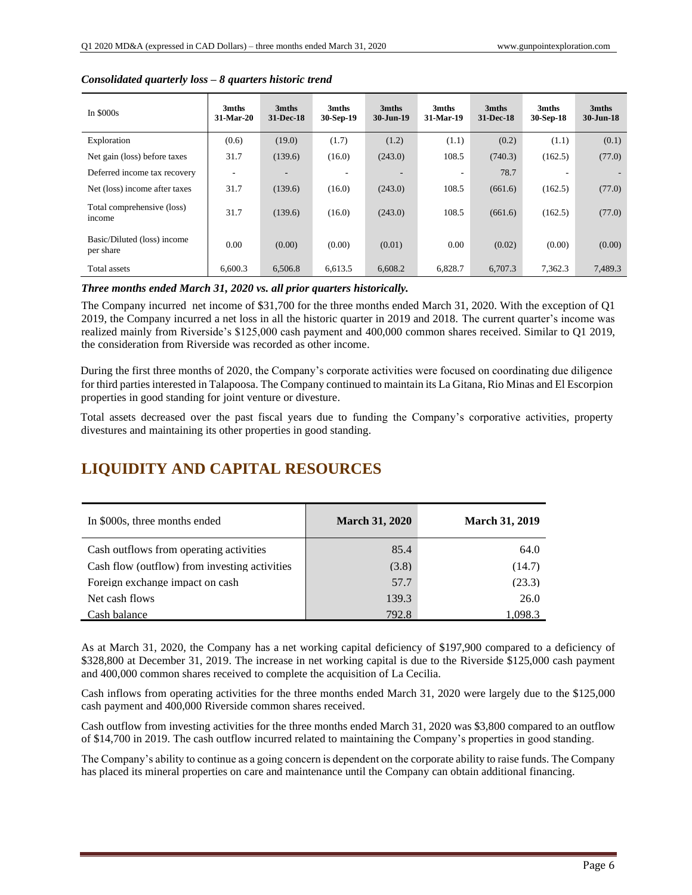| In $$000s$                               | 3mths<br>31-Mar-20 | 3mths<br>31-Dec-18 | 3mths<br>30-Sep-19 | 3mths<br>30-Jun-19 | 3mths<br>31-Mar-19 | 3mths<br>31-Dec-18 | 3mths<br>30-Sep-18 | 3mths<br>$30 - Jun-18$ |
|------------------------------------------|--------------------|--------------------|--------------------|--------------------|--------------------|--------------------|--------------------|------------------------|
| Exploration                              | (0.6)              | (19.0)             | (1.7)              | (1.2)              | (1.1)              | (0.2)              | (1.1)              | (0.1)                  |
| Net gain (loss) before taxes             | 31.7               | (139.6)            | (16.0)             | (243.0)            | 108.5              | (740.3)            | (162.5)            | (77.0)                 |
| Deferred income tax recovery             |                    | -                  |                    |                    | ۰                  | 78.7               |                    |                        |
| Net (loss) income after taxes            | 31.7               | (139.6)            | (16.0)             | (243.0)            | 108.5              | (661.6)            | (162.5)            | (77.0)                 |
| Total comprehensive (loss)<br>income     | 31.7               | (139.6)            | (16.0)             | (243.0)            | 108.5              | (661.6)            | (162.5)            | (77.0)                 |
| Basic/Diluted (loss) income<br>per share | 0.00               | (0.00)             | (0.00)             | (0.01)             | 0.00               | (0.02)             | (0.00)             | (0.00)                 |
| Total assets                             | 6,600.3            | 6,506.8            | 6,613.5            | 6,608.2            | 6,828.7            | 6,707.3            | 7,362.3            | 7,489.3                |

#### *Consolidated quarterly loss – 8 quarters historic trend*

*Three months ended March 31, 2020 vs. all prior quarters historically.*

The Company incurred net income of \$31,700 for the three months ended March 31, 2020. With the exception of Q1 2019, the Company incurred a net loss in all the historic quarter in 2019 and 2018. The current quarter's income was realized mainly from Riverside's \$125,000 cash payment and 400,000 common shares received. Similar to Q1 2019, the consideration from Riverside was recorded as other income.

During the first three months of 2020, the Company's corporate activities were focused on coordinating due diligence for third parties interested in Talapoosa. The Company continued to maintain its La Gitana, Rio Minas and El Escorpion properties in good standing for joint venture or divesture.

Total assets decreased over the past fiscal years due to funding the Company's corporative activities, property divestures and maintaining its other properties in good standing.

# **LIQUIDITY AND CAPITAL RESOURCES**

| In \$000s, three months ended                 | <b>March 31, 2020</b> | <b>March 31, 2019</b> |
|-----------------------------------------------|-----------------------|-----------------------|
| Cash outflows from operating activities       | 85.4                  | 64.0                  |
| Cash flow (outflow) from investing activities | (3.8)                 | (14.7)                |
| Foreign exchange impact on cash               | 57.7                  | (23.3)                |
| Net cash flows                                | 139.3                 | 26.0                  |
| Cash balance                                  | 792.8                 | 1.098.3               |

As at March 31, 2020, the Company has a net working capital deficiency of \$197,900 compared to a deficiency of \$328,800 at December 31, 2019. The increase in net working capital is due to the Riverside \$125,000 cash payment and 400,000 common shares received to complete the acquisition of La Cecilia.

Cash inflows from operating activities for the three months ended March 31, 2020 were largely due to the \$125,000 cash payment and 400,000 Riverside common shares received.

Cash outflow from investing activities for the three months ended March 31, 2020 was \$3,800 compared to an outflow of \$14,700 in 2019. The cash outflow incurred related to maintaining the Company's properties in good standing.

The Company's ability to continue as a going concern is dependent on the corporate ability to raise funds. The Company has placed its mineral properties on care and maintenance until the Company can obtain additional financing.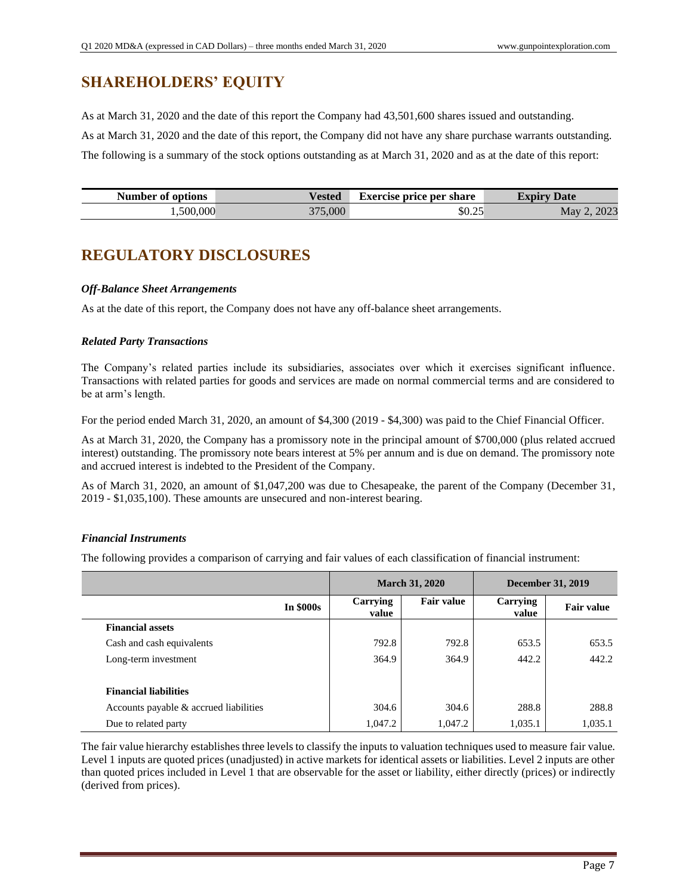# **SHAREHOLDERS' EQUITY**

As at March 31, 2020 and the date of this report the Company had 43,501,600 shares issued and outstanding. As at March 31, 2020 and the date of this report, the Company did not have any share purchase warrants outstanding. The following is a summary of the stock options outstanding as at March 31, 2020 and as at the date of this report:

| <b>Number of options</b> | Vested  | <b>Exercise price per share</b> | <b>Expiry Date</b> |
|--------------------------|---------|---------------------------------|--------------------|
| 1,500,000                | 375,000 | \$0.25                          | 2023<br>May        |

# **REGULATORY DISCLOSURES**

## *Off-Balance Sheet Arrangements*

As at the date of this report, the Company does not have any off-balance sheet arrangements.

## *Related Party Transactions*

The Company's related parties include its subsidiaries, associates over which it exercises significant influence. Transactions with related parties for goods and services are made on normal commercial terms and are considered to be at arm's length.

For the period ended March 31, 2020, an amount of \$4,300 (2019 - \$4,300) was paid to the Chief Financial Officer.

As at March 31, 2020, the Company has a promissory note in the principal amount of \$700,000 (plus related accrued interest) outstanding. The promissory note bears interest at 5% per annum and is due on demand. The promissory note and accrued interest is indebted to the President of the Company.

As of March 31, 2020, an amount of \$1,047,200 was due to Chesapeake, the parent of the Company (December 31, 2019 - \$1,035,100). These amounts are unsecured and non-interest bearing.

## *Financial Instruments*

The following provides a comparison of carrying and fair values of each classification of financial instrument:

|                                        |                   | <b>March 31, 2020</b> |                          | <b>December 31, 2019</b> |  |
|----------------------------------------|-------------------|-----------------------|--------------------------|--------------------------|--|
| <b>In \$000s</b>                       | Carrying<br>value | <b>Fair value</b>     | <b>Carrying</b><br>value | <b>Fair value</b>        |  |
| <b>Financial assets</b>                |                   |                       |                          |                          |  |
| Cash and cash equivalents              | 792.8             | 792.8                 | 653.5                    | 653.5                    |  |
| Long-term investment                   | 364.9             | 364.9                 | 442.2                    | 442.2                    |  |
| <b>Financial liabilities</b>           |                   |                       |                          |                          |  |
| Accounts payable & accrued liabilities | 304.6             | 304.6                 | 288.8                    | 288.8                    |  |
| Due to related party                   | 1,047.2           | 1,047.2               | 1,035.1                  | 1,035.1                  |  |

The fair value hierarchy establishes three levels to classify the inputs to valuation techniques used to measure fair value. Level 1 inputs are quoted prices (unadjusted) in active markets for identical assets or liabilities. Level 2 inputs are other than quoted prices included in Level 1 that are observable for the asset or liability, either directly (prices) or indirectly (derived from prices).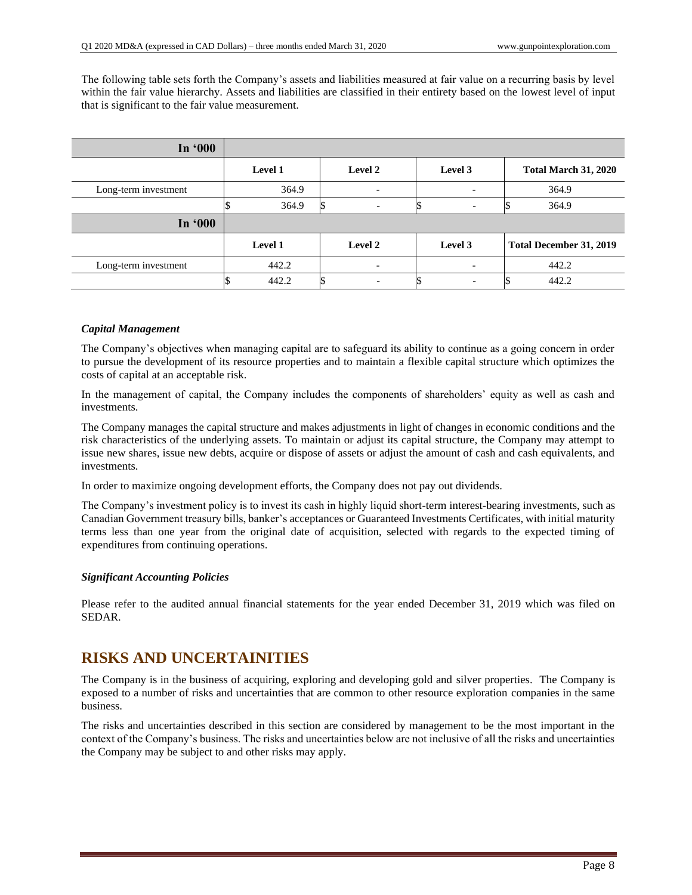The following table sets forth the Company's assets and liabilities measured at fair value on a recurring basis by level within the fair value hierarchy. Assets and liabilities are classified in their entirety based on the lowest level of input that is significant to the fair value measurement.

| In '000              |         |                          |                          |                             |
|----------------------|---------|--------------------------|--------------------------|-----------------------------|
|                      | Level 1 | Level 2                  | Level 3                  | <b>Total March 31, 2020</b> |
| Long-term investment | 364.9   | $\overline{\phantom{a}}$ |                          | 364.9                       |
|                      | 364.9   | $\overline{\phantom{0}}$ | $\overline{\phantom{0}}$ | 364.9                       |
| In '000              |         |                          |                          |                             |
|                      | Level 1 | Level 2                  | Level 3                  | Total December 31, 2019     |
| Long-term investment | 442.2   | $\overline{\phantom{0}}$ |                          | 442.2                       |
|                      | 442.2   |                          |                          | 442.2                       |

### *Capital Management*

The Company's objectives when managing capital are to safeguard its ability to continue as a going concern in order to pursue the development of its resource properties and to maintain a flexible capital structure which optimizes the costs of capital at an acceptable risk.

In the management of capital, the Company includes the components of shareholders' equity as well as cash and investments.

The Company manages the capital structure and makes adjustments in light of changes in economic conditions and the risk characteristics of the underlying assets. To maintain or adjust its capital structure, the Company may attempt to issue new shares, issue new debts, acquire or dispose of assets or adjust the amount of cash and cash equivalents, and investments.

In order to maximize ongoing development efforts, the Company does not pay out dividends.

The Company's investment policy is to invest its cash in highly liquid short-term interest-bearing investments, such as Canadian Government treasury bills, banker's acceptances or Guaranteed Investments Certificates, with initial maturity terms less than one year from the original date of acquisition, selected with regards to the expected timing of expenditures from continuing operations.

## *Significant Accounting Policies*

Please refer to the audited annual financial statements for the year ended December 31, 2019 which was filed on SEDAR.

# **RISKS AND UNCERTAINITIES**

The Company is in the business of acquiring, exploring and developing gold and silver properties. The Company is exposed to a number of risks and uncertainties that are common to other resource exploration companies in the same business.

The risks and uncertainties described in this section are considered by management to be the most important in the context of the Company's business. The risks and uncertainties below are not inclusive of all the risks and uncertainties the Company may be subject to and other risks may apply.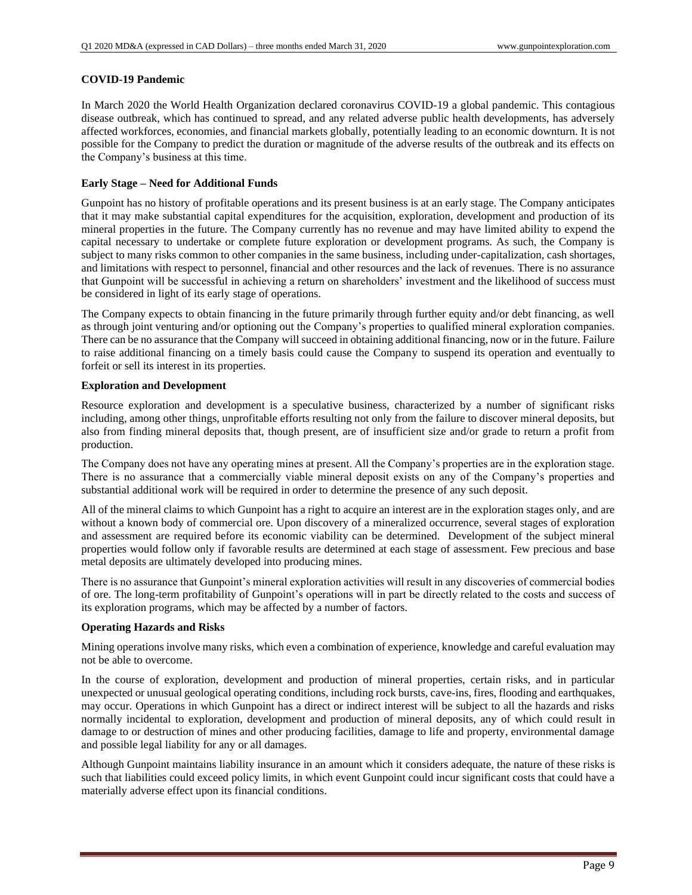### **COVID-19 Pandemic**

In March 2020 the World Health Organization declared coronavirus COVID-19 a global pandemic. This contagious disease outbreak, which has continued to spread, and any related adverse public health developments, has adversely affected workforces, economies, and financial markets globally, potentially leading to an economic downturn. It is not possible for the Company to predict the duration or magnitude of the adverse results of the outbreak and its effects on the Company's business at this time.

### **Early Stage – Need for Additional Funds**

Gunpoint has no history of profitable operations and its present business is at an early stage. The Company anticipates that it may make substantial capital expenditures for the acquisition, exploration, development and production of its mineral properties in the future. The Company currently has no revenue and may have limited ability to expend the capital necessary to undertake or complete future exploration or development programs. As such, the Company is subject to many risks common to other companies in the same business, including under-capitalization, cash shortages, and limitations with respect to personnel, financial and other resources and the lack of revenues. There is no assurance that Gunpoint will be successful in achieving a return on shareholders' investment and the likelihood of success must be considered in light of its early stage of operations.

The Company expects to obtain financing in the future primarily through further equity and/or debt financing, as well as through joint venturing and/or optioning out the Company's properties to qualified mineral exploration companies. There can be no assurance that the Company will succeed in obtaining additional financing, now or in the future. Failure to raise additional financing on a timely basis could cause the Company to suspend its operation and eventually to forfeit or sell its interest in its properties.

### **Exploration and Development**

Resource exploration and development is a speculative business, characterized by a number of significant risks including, among other things, unprofitable efforts resulting not only from the failure to discover mineral deposits, but also from finding mineral deposits that, though present, are of insufficient size and/or grade to return a profit from production.

The Company does not have any operating mines at present. All the Company's properties are in the exploration stage. There is no assurance that a commercially viable mineral deposit exists on any of the Company's properties and substantial additional work will be required in order to determine the presence of any such deposit.

All of the mineral claims to which Gunpoint has a right to acquire an interest are in the exploration stages only, and are without a known body of commercial ore. Upon discovery of a mineralized occurrence, several stages of exploration and assessment are required before its economic viability can be determined. Development of the subject mineral properties would follow only if favorable results are determined at each stage of assessment. Few precious and base metal deposits are ultimately developed into producing mines.

There is no assurance that Gunpoint's mineral exploration activities will result in any discoveries of commercial bodies of ore. The long-term profitability of Gunpoint's operations will in part be directly related to the costs and success of its exploration programs, which may be affected by a number of factors.

## **Operating Hazards and Risks**

Mining operations involve many risks, which even a combination of experience, knowledge and careful evaluation may not be able to overcome.

In the course of exploration, development and production of mineral properties, certain risks, and in particular unexpected or unusual geological operating conditions, including rock bursts, cave-ins, fires, flooding and earthquakes, may occur. Operations in which Gunpoint has a direct or indirect interest will be subject to all the hazards and risks normally incidental to exploration, development and production of mineral deposits, any of which could result in damage to or destruction of mines and other producing facilities, damage to life and property, environmental damage and possible legal liability for any or all damages.

Although Gunpoint maintains liability insurance in an amount which it considers adequate, the nature of these risks is such that liabilities could exceed policy limits, in which event Gunpoint could incur significant costs that could have a materially adverse effect upon its financial conditions.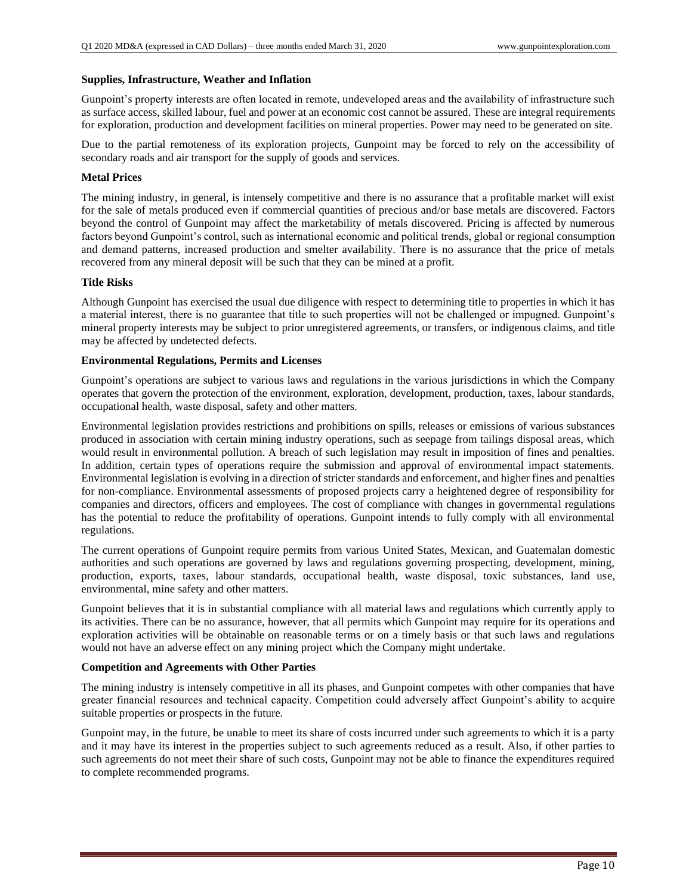### **Supplies, Infrastructure, Weather and Inflation**

Gunpoint's property interests are often located in remote, undeveloped areas and the availability of infrastructure such as surface access, skilled labour, fuel and power at an economic cost cannot be assured. These are integral requirements for exploration, production and development facilities on mineral properties. Power may need to be generated on site.

Due to the partial remoteness of its exploration projects, Gunpoint may be forced to rely on the accessibility of secondary roads and air transport for the supply of goods and services.

### **Metal Prices**

The mining industry, in general, is intensely competitive and there is no assurance that a profitable market will exist for the sale of metals produced even if commercial quantities of precious and/or base metals are discovered. Factors beyond the control of Gunpoint may affect the marketability of metals discovered. Pricing is affected by numerous factors beyond Gunpoint's control, such as international economic and political trends, global or regional consumption and demand patterns, increased production and smelter availability. There is no assurance that the price of metals recovered from any mineral deposit will be such that they can be mined at a profit.

### **Title Risks**

Although Gunpoint has exercised the usual due diligence with respect to determining title to properties in which it has a material interest, there is no guarantee that title to such properties will not be challenged or impugned. Gunpoint's mineral property interests may be subject to prior unregistered agreements, or transfers, or indigenous claims, and title may be affected by undetected defects.

### **Environmental Regulations, Permits and Licenses**

Gunpoint's operations are subject to various laws and regulations in the various jurisdictions in which the Company operates that govern the protection of the environment, exploration, development, production, taxes, labour standards, occupational health, waste disposal, safety and other matters.

Environmental legislation provides restrictions and prohibitions on spills, releases or emissions of various substances produced in association with certain mining industry operations, such as seepage from tailings disposal areas, which would result in environmental pollution. A breach of such legislation may result in imposition of fines and penalties. In addition, certain types of operations require the submission and approval of environmental impact statements. Environmental legislation is evolving in a direction of stricter standards and enforcement, and higher fines and penalties for non-compliance. Environmental assessments of proposed projects carry a heightened degree of responsibility for companies and directors, officers and employees. The cost of compliance with changes in governmental regulations has the potential to reduce the profitability of operations. Gunpoint intends to fully comply with all environmental regulations.

The current operations of Gunpoint require permits from various United States, Mexican, and Guatemalan domestic authorities and such operations are governed by laws and regulations governing prospecting, development, mining, production, exports, taxes, labour standards, occupational health, waste disposal, toxic substances, land use, environmental, mine safety and other matters.

Gunpoint believes that it is in substantial compliance with all material laws and regulations which currently apply to its activities. There can be no assurance, however, that all permits which Gunpoint may require for its operations and exploration activities will be obtainable on reasonable terms or on a timely basis or that such laws and regulations would not have an adverse effect on any mining project which the Company might undertake.

### **Competition and Agreements with Other Parties**

The mining industry is intensely competitive in all its phases, and Gunpoint competes with other companies that have greater financial resources and technical capacity. Competition could adversely affect Gunpoint's ability to acquire suitable properties or prospects in the future.

Gunpoint may, in the future, be unable to meet its share of costs incurred under such agreements to which it is a party and it may have its interest in the properties subject to such agreements reduced as a result. Also, if other parties to such agreements do not meet their share of such costs, Gunpoint may not be able to finance the expenditures required to complete recommended programs.